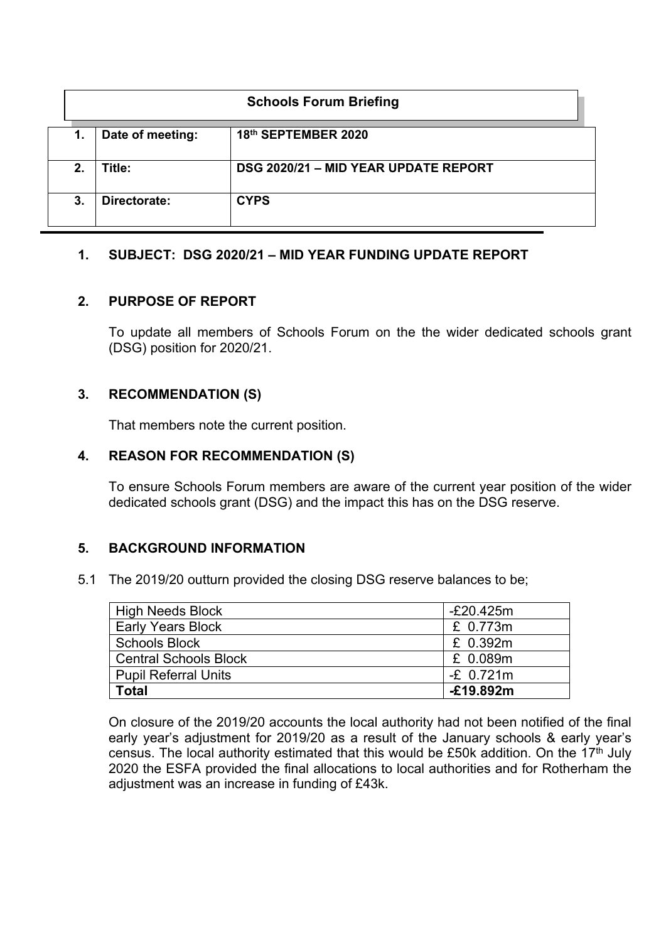|             | <b>Schools Forum Briefing</b> |                                      |  |  |  |
|-------------|-------------------------------|--------------------------------------|--|--|--|
| 1.          | Date of meeting:              | 18th SEPTEMBER 2020                  |  |  |  |
| $2_{\cdot}$ | Title:                        | DSG 2020/21 - MID YEAR UPDATE REPORT |  |  |  |
| 3.          | Directorate:                  | <b>CYPS</b>                          |  |  |  |

## **1. SUBJECT: DSG 2020/21 – MID YEAR FUNDING UPDATE REPORT**

## **2. PURPOSE OF REPORT**

To update all members of Schools Forum on the the wider dedicated schools grant (DSG) position for 2020/21.

# **3. RECOMMENDATION (S)**

That members note the current position.

## **4. REASON FOR RECOMMENDATION (S)**

To ensure Schools Forum members are aware of the current year position of the wider dedicated schools grant (DSG) and the impact this has on the DSG reserve.

# **5. BACKGROUND INFORMATION**

5.1 The 2019/20 outturn provided the closing DSG reserve balances to be;

| <b>High Needs Block</b>      | -£20.425m   |
|------------------------------|-------------|
| <b>Early Years Block</b>     | £ 0.773m    |
| <b>Schools Block</b>         | £ 0.392m    |
| <b>Central Schools Block</b> | £ 0.089m    |
| <b>Pupil Referral Units</b>  | $-E$ 0.721m |
| <b>Total</b>                 | £19.892m    |

On closure of the 2019/20 accounts the local authority had not been notified of the final early year's adjustment for 2019/20 as a result of the January schools & early year's census. The local authority estimated that this would be £50k addition. On the  $17<sup>th</sup>$  July 2020 the ESFA provided the final allocations to local authorities and for Rotherham the adjustment was an increase in funding of £43k.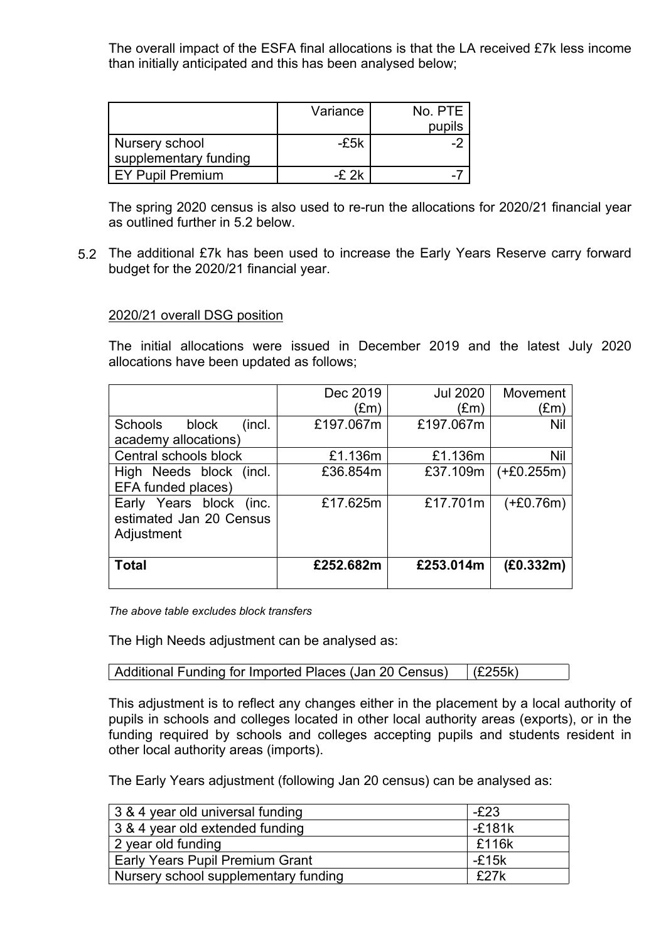The overall impact of the ESFA final allocations is that the LA received £7k less income than initially anticipated and this has been analysed below;

|                       | Variance | No. PTE |
|-----------------------|----------|---------|
|                       |          | pupils  |
| Nursery school        | -£5k     |         |
| supplementary funding |          |         |
| EY Pupil Premium      | $-F2k$   |         |

The spring 2020 census is also used to re-run the allocations for 2020/21 financial year as outlined further in 5.2 below.

5.2 The additional £7k has been used to increase the Early Years Reserve carry forward budget for the 2020/21 financial year.

#### 2020/21 overall DSG position

The initial allocations were issued in December 2019 and the latest July 2020 allocations have been updated as follows;

|                                                                  | Dec 2019      | <b>Jul 2020</b> | Movement      |
|------------------------------------------------------------------|---------------|-----------------|---------------|
|                                                                  | $(\text{Em})$ | (£m)            | $(\text{Em})$ |
| <b>Schools</b><br>block<br>(incl.                                | £197.067m     | £197.067m       | <b>Nil</b>    |
| academy allocations)                                             |               |                 |               |
| Central schools block                                            | £1.136m       | £1.136m         | Nil           |
| High Needs block (incl.                                          | £36.854m      | £37.109m        | $(+£0.255m)$  |
| EFA funded places)                                               |               |                 |               |
| Early Years block (inc.<br>estimated Jan 20 Census<br>Adjustment | £17.625m      | £17.701m        | $(+£0.76m)$   |
| <b>Total</b>                                                     | £252.682m     | £253.014m       | (E0.332m)     |

*The above table excludes block transfers*

The High Needs adjustment can be analysed as:

```
Additional Funding for Imported Places (Jan 20 Census) (£255k)
```
This adjustment is to reflect any changes either in the placement by a local authority of pupils in schools and colleges located in other local authority areas (exports), or in the funding required by schools and colleges accepting pupils and students resident in other local authority areas (imports).

The Early Years adjustment (following Jan 20 census) can be analysed as:

| 3 & 4 year old universal funding     | $-E23$   |
|--------------------------------------|----------|
| 3 & 4 year old extended funding      | $-£181k$ |
| 2 year old funding                   | £116k    |
| Early Years Pupil Premium Grant      | $-E15k$  |
| Nursery school supplementary funding | £27k     |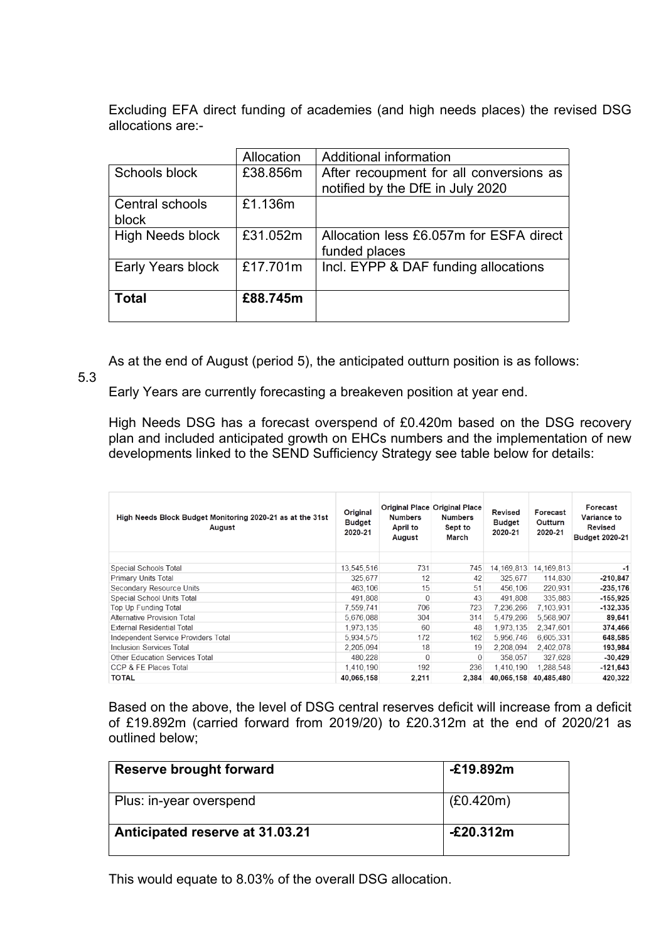Excluding EFA direct funding of academies (and high needs places) the revised DSG allocations are:-

|                         | Allocation | Additional information                  |
|-------------------------|------------|-----------------------------------------|
| Schools block           | £38.856m   | After recoupment for all conversions as |
|                         |            | notified by the DfE in July 2020        |
| Central schools         | £1.136m    |                                         |
| block                   |            |                                         |
| <b>High Needs block</b> | £31.052m   | Allocation less £6.057m for ESFA direct |
|                         |            | funded places                           |
| Early Years block       | £17.701m   | Incl. EYPP & DAF funding allocations    |
| <b>Total</b>            | £88.745m   |                                         |
|                         |            |                                         |

As at the end of August (period 5), the anticipated outturn position is as follows:

5.3

Early Years are currently forecasting a breakeven position at year end.

High Needs DSG has a forecast overspend of £0.420m based on the DSG recovery plan and included anticipated growth on EHCs numbers and the implementation of new developments linked to the SEND Sufficiency Strategy see table below for details:

| High Needs Block Budget Monitoring 2020-21 as at the 31st<br>August | Original<br>Budget<br>2020-21 | <b>Numbers</b><br>April to<br>August | <b>Original Place Original Place</b><br><b>Numbers</b><br>Sept to<br>March | Revised<br><b>Budget</b><br>2020-21 | Forecast<br>Outturn<br>2020-21 | Forecast<br>Variance to<br>Revised<br><b>Budget 2020-21</b> |
|---------------------------------------------------------------------|-------------------------------|--------------------------------------|----------------------------------------------------------------------------|-------------------------------------|--------------------------------|-------------------------------------------------------------|
| Special Schools Total                                               | 13,545,516                    | 731                                  | 745                                                                        | 14,169,813                          | 14, 169, 813                   | -1                                                          |
| Primary Units Total                                                 | 325,677                       | 12                                   | 42                                                                         | 325,677                             | 114,830                        | $-210,847$                                                  |
| Secondary Resource Units                                            | 463.106                       | 15                                   | 51                                                                         | 456.106                             | 220.931                        | $-235,176$                                                  |
| Special School Units Total                                          | 491,808                       | $\Omega$                             | 43                                                                         | 491.808                             | 335.883                        | $-155,925$                                                  |
| Top Up Funding Total                                                | 7.559.741                     | 706                                  | 723                                                                        | 7,236,266                           | 7,103,931                      | $-132,335$                                                  |
| <b>Alternative Provision Total</b>                                  | 5.676.088                     | 304                                  | 314                                                                        | 5.479.266                           | 5.568.907                      | 89,641                                                      |
| <b>External Residential Total</b>                                   | 1,973,135                     | 60                                   | 48                                                                         | 1,973,135                           | 2,347,601                      | 374,466                                                     |
| Independent Service Providers Total                                 | 5,934,575                     | 172                                  | 162                                                                        | 5,956,746                           | 6,605,331                      | 648,585                                                     |
| Inclusion Services Total                                            | 2,205,094                     | 18                                   | 19                                                                         | 2,208,094                           | 2,402,078                      | 193,984                                                     |
| <b>Other Education Services Total</b>                               | 480.228                       | $\Omega$                             | $\Omega$                                                                   | 358,057                             | 327.628                        | $-30,429$                                                   |
| CCP & FE Places Total                                               | 1,410,190                     | 192                                  | 236                                                                        | 1.410.190                           | 1.288.548                      | $-121,643$                                                  |
| <b>TOTAL</b>                                                        | 40.065.158                    | 2.211                                | 2,384                                                                      | 40,065,158                          | 40,485,480                     | 420,322                                                     |

Based on the above, the level of DSG central reserves deficit will increase from a deficit of £19.892m (carried forward from 2019/20) to £20.312m at the end of 2020/21 as outlined below;

| <b>Reserve brought forward</b>  | $-£19.892m$ |
|---------------------------------|-------------|
| Plus: in-year overspend         | (E0.420m)   |
| Anticipated reserve at 31.03.21 | -£20.312m   |

This would equate to 8.03% of the overall DSG allocation.